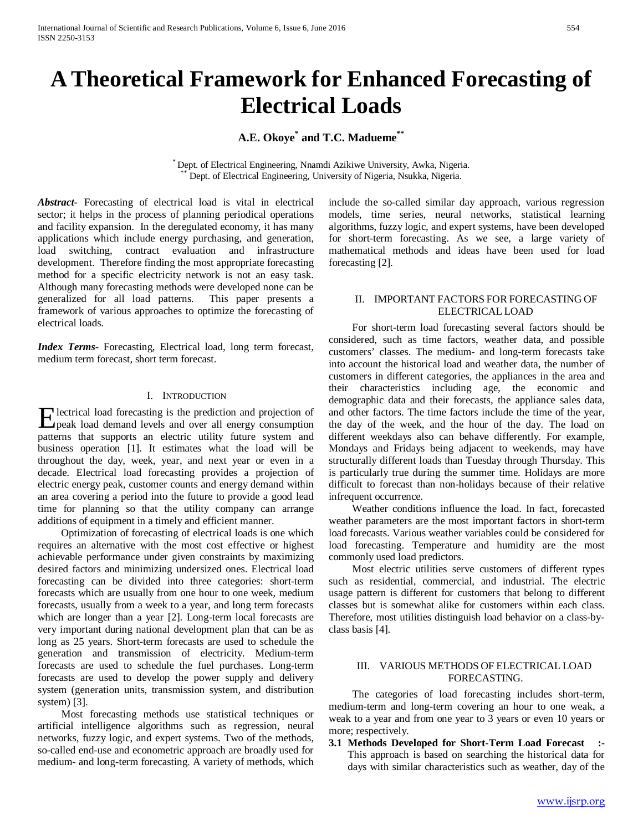# **A Theoretical Framework for Enhanced Forecasting of Electrical Loads**

# **A.E. Okoye\* and T.C. Madueme\*\***

Dept. of Electrical Engineering, Nnamdi Azikiwe University, Awka, Nigeria. Dept. of Electrical Engineering, University of Nigeria, Nsukka, Nigeria.

*Abstract***-** Forecasting of electrical load is vital in electrical sector; it helps in the process of planning periodical operations and facility expansion. In the deregulated economy, it has many applications which include energy purchasing, and generation, load switching, contract evaluation and infrastructure development. Therefore finding the most appropriate forecasting method for a specific electricity network is not an easy task. Although many forecasting methods were developed none can be generalized for all load patterns. This paper presents a framework of various approaches to optimize the forecasting of electrical loads.

*Index Terms*- Forecasting, Electrical load, long term forecast, medium term forecast, short term forecast.

#### I. INTRODUCTION

lectrical load forecasting is the prediction and projection of **F** lectrical load forecasting is the prediction and projection of peak load demand levels and over all energy consumption patterns that supports an electric utility future system and business operation [1]. It estimates what the load will be throughout the day, week, year, and next year or even in a decade. Electrical load forecasting provides a projection of electric energy peak, customer counts and energy demand within an area covering a period into the future to provide a good lead time for planning so that the utility company can arrange additions of equipment in a timely and efficient manner.

 Optimization of forecasting of electrical loads is one which requires an alternative with the most cost effective or highest achievable performance under given constraints by maximizing desired factors and minimizing undersized ones. Electrical load forecasting can be divided into three categories: short-term forecasts which are usually from one hour to one week, medium forecasts, usually from a week to a year, and long term forecasts which are longer than a year [2]. Long-term local forecasts are very important during national development plan that can be as long as 25 years. Short-term forecasts are used to schedule the generation and transmission of electricity. Medium-term forecasts are used to schedule the fuel purchases. Long-term forecasts are used to develop the power supply and delivery system (generation units, transmission system, and distribution system) [3].

 Most forecasting methods use statistical techniques or artificial intelligence algorithms such as regression, neural networks, fuzzy logic, and expert systems. Two of the methods, so-called end-use and econometric approach are broadly used for medium- and long-term forecasting. A variety of methods, which

include the so-called similar day approach, various regression models, time series, neural networks, statistical learning algorithms, fuzzy logic, and expert systems, have been developed for short-term forecasting. As we see, a large variety of mathematical methods and ideas have been used for load forecasting [2].

#### II. IMPORTANT FACTORS FOR FORECASTING OF ELECTRICAL LOAD

 For short-term load forecasting several factors should be considered, such as time factors, weather data, and possible customers' classes. The medium- and long-term forecasts take into account the historical load and weather data, the number of customers in different categories, the appliances in the area and their characteristics including age, the economic and demographic data and their forecasts, the appliance sales data, and other factors. The time factors include the time of the year, the day of the week, and the hour of the day. The load on different weekdays also can behave differently. For example, Mondays and Fridays being adjacent to weekends, may have structurally different loads than Tuesday through Thursday. This is particularly true during the summer time. Holidays are more difficult to forecast than non-holidays because of their relative infrequent occurrence.

 Weather conditions influence the load. In fact, forecasted weather parameters are the most important factors in short-term load forecasts. Various weather variables could be considered for load forecasting. Temperature and humidity are the most commonly used load predictors.

 Most electric utilities serve customers of different types such as residential, commercial, and industrial. The electric usage pattern is different for customers that belong to different classes but is somewhat alike for customers within each class. Therefore, most utilities distinguish load behavior on a class-byclass basis [4].

## III. VARIOUS METHODS OF ELECTRICAL LOAD FORECASTING.

 The categories of load forecasting includes short-term, medium-term and long-term covering an hour to one weak, a weak to a year and from one year to 3 years or even 10 years or more; respectively.

**3.1 Methods Developed for Short-Term Load Forecast :-** This approach is based on searching the historical data for days with similar characteristics such as weather, day of the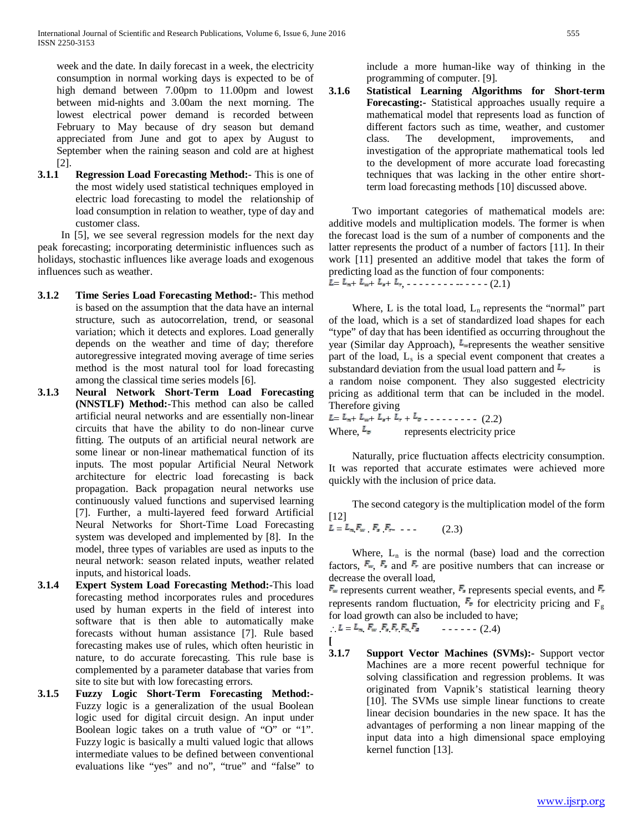week and the date. In daily forecast in a week, the electricity consumption in normal working days is expected to be of high demand between 7.00pm to 11.00pm and lowest between mid-nights and 3.00am the next morning. The lowest electrical power demand is recorded between February to May because of dry season but demand appreciated from June and got to apex by August to September when the raining season and cold are at highest [2].

**3.1.1 Regression Load Forecasting Method:**- This is one of the most widely used statistical techniques employed in electric load forecasting to model the relationship of load consumption in relation to weather, type of day and customer class.

In [5], we see several regression models for the next day peak forecasting; incorporating deterministic influences such as holidays, stochastic influences like average loads and exogenous influences such as weather.

- **3.1.2 Time Series Load Forecasting Method:-** This method is based on the assumption that the data have an internal structure, such as autocorrelation, trend, or seasonal variation; which it detects and explores. Load generally depends on the weather and time of day; therefore autoregressive integrated moving average of time series method is the most natural tool for load forecasting among the classical time series models [6].
- **3.1.3 Neural Network Short-Term Load Forecasting (NNSTLF) Method:**-This method can also be called artificial neural networks and are essentially non-linear circuits that have the ability to do non-linear curve fitting. The outputs of an artificial neural network are some linear or non-linear mathematical function of its inputs. The most popular Artificial Neural Network architecture for electric load forecasting is back propagation. Back propagation neural networks use continuously valued functions and supervised learning [7]. Further, a multi-layered feed forward Artificial Neural Networks for Short-Time Load Forecasting system was developed and implemented by [8]. In the model, three types of variables are used as inputs to the neural network: season related inputs, weather related inputs, and historical loads.
- **3.1.4 Expert System Load Forecasting Method:-**This load forecasting method incorporates rules and procedures used by human experts in the field of interest into software that is then able to automatically make forecasts without human assistance [7]. Rule based forecasting makes use of rules, which often heuristic in nature, to do accurate forecasting. This rule base is complemented by a parameter database that varies from site to site but with low forecasting errors.
- **3.1.5 Fuzzy Logic Short-Term Forecasting Method:-** Fuzzy logic is a generalization of the usual Boolean logic used for digital circuit design. An input under Boolean logic takes on a truth value of "O" or "1". Fuzzy logic is basically a multi valued logic that allows intermediate values to be defined between conventional evaluations like "yes" and no", "true" and "false" to

include a more human-like way of thinking in the programming of computer. [9].

**3.1.6 Statistical Learning Algorithms for Short-term Forecasting:-** Statistical approaches usually require a mathematical model that represents load as function of different factors such as time, weather, and customer class. The development, improvements, and investigation of the appropriate mathematical tools led to the development of more accurate load forecasting techniques that was lacking in the other entire shortterm load forecasting methods [10] discussed above.

 Two important categories of mathematical models are: additive models and multiplication models. The former is when the forecast load is the sum of a number of components and the latter represents the product of a number of factors [11]. In their work [11] presented an additive model that takes the form of predicting load as the function of four components:

 $L = L_{n+} L_{n+} L_{r+} L_{r-} \ldots \ldots \ldots \ldots \ldots (2.1)$ 

Where, L is the total load,  $L_n$  represents the "normal" part of the load, which is a set of standardized load shapes for each "type" of day that has been identified as occurring throughout the year (Similar day Approach),  $\mathbb{E}_{\text{m}}$  represents the weather sensitive part of the load,  $L<sub>s</sub>$  is a special event component that creates a substandard deviation from the usual load pattern and  $\mathbb{I}_{r}$  is a random noise component. They also suggested electricity pricing as additional term that can be included in the model. Therefore giving

 $L = L_{n+} L_{n+} L_{n+} L_{n+} L_{n-} L_{n-}$  (2.2) Where,  $\mathbb{E}_{\mathbb{P}}$  represents electricity price

 Naturally, price fluctuation affects electricity consumption. It was reported that accurate estimates were achieved more quickly with the inclusion of price data.

 The second category is the multiplication model of the form [12]  $L = L_m F_w F_r F_r$  . . . . . . (2.3)

Where,  $L_n$  is the normal (base) load and the correction factors,  $\mathbb{F}_m$ ,  $\mathbb{F}_r$  and  $\mathbb{F}_r$  are positive numbers that can increase or decrease the overall load,

 $\mathbb{F}_{\!x}$  represents current weather,  $\mathbb{F}_{\!x}$  represents special events, and  $\mathbb{F}_{\!x}$ represents random fluctuation,  $\mathbb{F}_{\mathbb{F}}$  for electricity pricing and  $F_{g}$ for load growth can also be included to have;

$$
L = L_{\pi} F_{\pi} F_{\pi} F_{\tau} F_{\pi} F_{\pi}
$$
 (2.4)

**[ 3.1.7 Support Vector Machines (SVMs):-** Support vector Machines are a more recent powerful technique for solving classification and regression problems. It was originated from Vapnik's statistical learning theory [10]. The SVMs use simple linear functions to create linear decision boundaries in the new space. It has the advantages of performing a non linear mapping of the input data into a high dimensional space employing kernel function [13].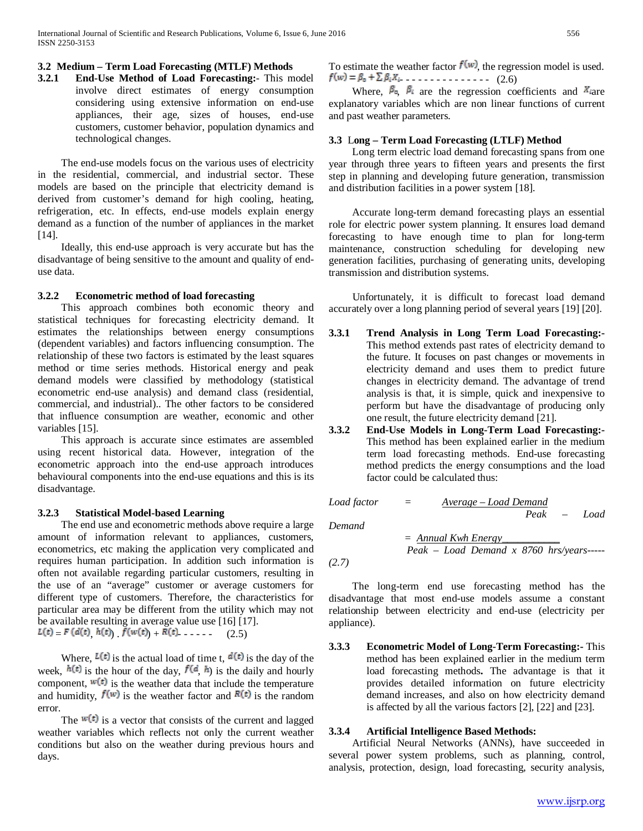#### **3.2 Medium – Term Load Forecasting (MTLF) Methods**

**3.2.1 End-Use Method of Load Forecasting:**- This model involve direct estimates of energy consumption considering using extensive information on end-use appliances, their age, sizes of houses, end-use customers, customer behavior, population dynamics and technological changes.

 The end-use models focus on the various uses of electricity in the residential, commercial, and industrial sector. These models are based on the principle that electricity demand is derived from customer's demand for high cooling, heating, refrigeration, etc. In effects, end-use models explain energy demand as a function of the number of appliances in the market [14].

 Ideally, this end-use approach is very accurate but has the disadvantage of being sensitive to the amount and quality of enduse data.

## **3.2.2 Econometric method of load forecasting**

 This approach combines both economic theory and statistical techniques for forecasting electricity demand. It estimates the relationships between energy consumptions (dependent variables) and factors influencing consumption. The relationship of these two factors is estimated by the least squares method or time series methods. Historical energy and peak demand models were classified by methodology (statistical econometric end-use analysis) and demand class (residential, commercial, and industrial).. The other factors to be considered that influence consumption are weather, economic and other variables [15].

 This approach is accurate since estimates are assembled using recent historical data. However, integration of the econometric approach into the end-use approach introduces behavioural components into the end-use equations and this is its disadvantage.

#### **3.2.3 Statistical Model-based Learning**

 The end use and econometric methods above require a large amount of information relevant to appliances, customers, econometrics, etc making the application very complicated and requires human participation. In addition such information is often not available regarding particular customers, resulting in the use of an "average" customer or average customers for different type of customers. Therefore, the characteristics for particular area may be different from the utility which may not be available resulting in average value use [16] [17].  $L(t) = F (d(t) h(t)) f(w(t)) + R(t)$  . . . . . (2.5)

Where,  $\mathbb{L}(\mathbf{t})$  is the actual load of time t,  $\mathbf{d}(\mathbf{t})$  is the day of the week,  $h(t)$  is the hour of the day,  $f(d, h)$  is the daily and hourly component,  $\mathbf{w}(t)$  is the weather data that include the temperature and humidity,  $f(w)$  is the weather factor and  $F(t)$  is the random error.

The  $\mathbf{w}(\mathbf{t})$  is a vector that consists of the current and lagged weather variables which reflects not only the current weather conditions but also on the weather during previous hours and days.

To estimate the weather factor  $f(w)$ , the regression model is used.  $f(w) = \beta_0 + \sum \beta_i X_i$  . . . . . . . . . . . . . . . (2.6)

Where,  $\beta_{\alpha}$ ,  $\beta_{i}$  are the regression coefficients and  $X_{i}$  are explanatory variables which are non linear functions of current and past weather parameters.

#### **3.3** L**ong – Term Load Forecasting (LTLF) Method**

 Long term electric load demand forecasting spans from one year through three years to fifteen years and presents the first step in planning and developing future generation, transmission and distribution facilities in a power system [18].

 Accurate long-term demand forecasting plays an essential role for electric power system planning. It ensures load demand forecasting to have enough time to plan for long-term maintenance, construction scheduling for developing new generation facilities, purchasing of generating units, developing transmission and distribution systems.

 Unfortunately, it is difficult to forecast load demand accurately over a long planning period of several years [19] [20].

- **3.3.1 Trend Analysis in Long Term Load Forecasting:-** This method extends past rates of electricity demand to the future. It focuses on past changes or movements in electricity demand and uses them to predict future changes in electricity demand. The advantage of trend analysis is that, it is simple, quick and inexpensive to perform but have the disadvantage of producing only one result, the future electricity demand [21].
- **3.3.2 End-Use Models in Long-Term Load Forecasting:-** This method has been explained earlier in the medium term load forecasting methods. End-use forecasting method predicts the energy consumptions and the load factor could be calculated thus:

*Load factor = Average – Load Demand Peak – Load* 

*Demand* 

*= Annual Kwh Energy\_\_\_\_\_\_\_\_\_\_\_ Peak – Load Demand x 8760 hrs/years-----*

*(2.7)*

 The long-term end use forecasting method has the disadvantage that most end-use models assume a constant relationship between electricity and end-use (electricity per appliance).

**3.3.3 Econometric Model of Long-Term Forecasting:-** This method has been explained earlier in the medium term load forecasting methods**.** The advantage is that it provides detailed information on future electricity demand increases, and also on how electricity demand is affected by all the various factors [2], [22] and [23].

#### **3.3.4 Artificial Intelligence Based Methods:**

 Artificial Neural Networks (ANNs), have succeeded in several power system problems, such as planning, control, analysis, protection, design, load forecasting, security analysis,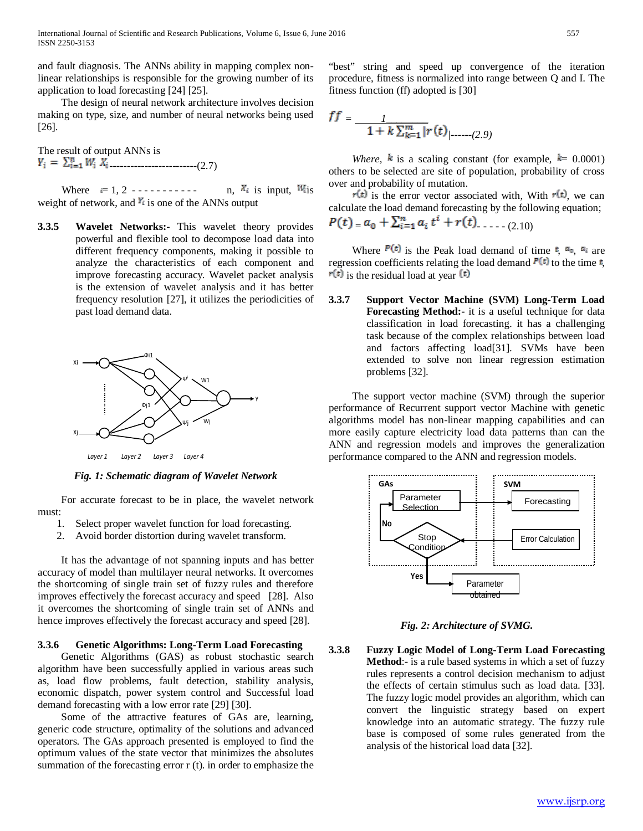International Journal of Scientific and Research Publications, Volume 6, Issue 6, June 2016 557 ISSN 2250-3153

and fault diagnosis. The ANNs ability in mapping complex nonlinear relationships is responsible for the growing number of its application to load forecasting [24] [25].

 The design of neural network architecture involves decision making on type, size, and number of neural networks being used [26].

The result of output ANNs is -------------------------(2.7)

Where  $= 1, 2$  ----------- n,  $\mathbb{K}_i$  is input,  $\mathbb{K}_i$ is weight of network, and  $\mathbb{F}_{\xi}$  is one of the ANNs output

**3.3.5 Wavelet Networks:-** This wavelet theory provides powerful and flexible tool to decompose load data into different frequency components, making it possible to analyze the characteristics of each component and improve forecasting accuracy. Wavelet packet analysis is the extension of wavelet analysis and it has better frequency resolution [27], it utilizes the periodicities of past load demand data.



*Fig. 1: Schematic diagram of Wavelet Network*

 For accurate forecast to be in place, the wavelet network must:

- 1. Select proper wavelet function for load forecasting.
- 2. Avoid border distortion during wavelet transform.

 It has the advantage of not spanning inputs and has better accuracy of model than multilayer neural networks. It overcomes the shortcoming of single train set of fuzzy rules and therefore improves effectively the forecast accuracy and speed [28]. Also it overcomes the shortcoming of single train set of ANNs and hence improves effectively the forecast accuracy and speed [28].

#### **3.3.6 Genetic Algorithms: Long-Term Load Forecasting**

 Genetic Algorithms (GAS) as robust stochastic search algorithm have been successfully applied in various areas such as, load flow problems, fault detection, stability analysis, economic dispatch, power system control and Successful load demand forecasting with a low error rate [29] [30].

 Some of the attractive features of GAs are, learning, generic code structure, optimality of the solutions and advanced operators. The GAs approach presented is employed to find the optimum values of the state vector that minimizes the absolutes summation of the forecasting error r (t). in order to emphasize the "best" string and speed up convergence of the iteration procedure, fitness is normalized into range between Q and I. The fitness function (ff) adopted is [30]

$$
ff = \frac{1}{1 + k \sum_{k=1}^{m} |r(t)| \cdot \dots \cdot (2.9)}
$$

*Where,*  $\bar{k}$  is a scaling constant (for example,  $\bar{k}$  = 0.0001) others to be selected are site of population, probability of cross over and probability of mutation.

 $\vec{r}(t)$  is the error vector associated with, With  $\vec{r}(t)$ , we can calculate the load demand forecasting by the following equation;<br> $B(f)$ 

$$
P(\mathbf{t}) = a_0 + \sum_{i=1}^{n} a_i \mathbf{t}^2 + r(\mathbf{t}) \dots (2.10)
$$

Where  $\mathbf{F}(\mathbf{t})$  is the Peak load demand of time  $\mathbf{t}$ ,  $\mathbf{a}_1$ ,  $\mathbf{a}_2$  are regression coefficients relating the load demand  $\mathbf{F(t)}$  to the time  $\mathbf{t}$ ,  $\mathbf{r}(t)$  is the residual load at year  $(t)$ 

**3.3.7 Support Vector Machine (SVM) Long-Term Load Forecasting Method:-** it is a useful technique for data classification in load forecasting. it has a challenging task because of the complex relationships between load and factors affecting load[31]. SVMs have been extended to solve non linear regression estimation problems [32].

 The support vector machine (SVM) through the superior performance of Recurrent support vector Machine with genetic algorithms model has non-linear mapping capabilities and can more easily capture electricity load data patterns than can the ANN and regression models and improves the generalization performance compared to the ANN and regression models.



*Fig. 2: Architecture of SVMG.*

**3.3.8 Fuzzy Logic Model of Long-Term Load Forecasting Method**:- is a rule based systems in which a set of fuzzy rules represents a control decision mechanism to adjust the effects of certain stimulus such as load data. [33]. The fuzzy logic model provides an algorithm, which can convert the linguistic strategy based on expert knowledge into an automatic strategy. The fuzzy rule base is composed of some rules generated from the analysis of the historical load data [32].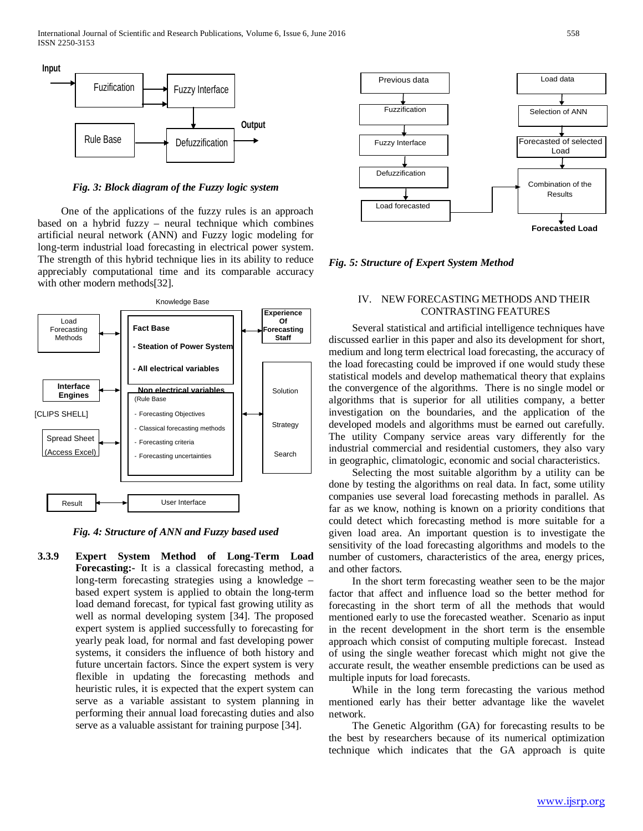

*Fig. 3: Block diagram of the Fuzzy logic system*

 One of the applications of the fuzzy rules is an approach based on a hybrid fuzzy – neural technique which combines artificial neural network (ANN) and Fuzzy logic modeling for long-term industrial load forecasting in electrical power system. The strength of this hybrid technique lies in its ability to reduce appreciably computational time and its comparable accuracy with other modern methods[32].



*Fig. 4: Structure of ANN and Fuzzy based used*

**3.3.9 Expert System Method of Long-Term Load Forecasting:-** It is a classical forecasting method, a long-term forecasting strategies using a knowledge – based expert system is applied to obtain the long-term load demand forecast, for typical fast growing utility as well as normal developing system [34]. The proposed expert system is applied successfully to forecasting for yearly peak load, for normal and fast developing power systems, it considers the influence of both history and future uncertain factors. Since the expert system is very flexible in updating the forecasting methods and heuristic rules, it is expected that the expert system can serve as a variable assistant to system planning in performing their annual load forecasting duties and also serve as a valuable assistant for training purpose [34].



*Fig. 5: Structure of Expert System Method*

## IV. NEW FORECASTING METHODS AND THEIR CONTRASTING FEATURES

 Several statistical and artificial intelligence techniques have discussed earlier in this paper and also its development for short, medium and long term electrical load forecasting, the accuracy of the load forecasting could be improved if one would study these statistical models and develop mathematical theory that explains the convergence of the algorithms. There is no single model or algorithms that is superior for all utilities company, a better investigation on the boundaries, and the application of the developed models and algorithms must be earned out carefully. The utility Company service areas vary differently for the industrial commercial and residential customers, they also vary in geographic, climatologic, economic and social characteristics.

 Selecting the most suitable algorithm by a utility can be done by testing the algorithms on real data. In fact, some utility companies use several load forecasting methods in parallel. As far as we know, nothing is known on a priority conditions that could detect which forecasting method is more suitable for a given load area. An important question is to investigate the sensitivity of the load forecasting algorithms and models to the number of customers, characteristics of the area, energy prices, and other factors.

 In the short term forecasting weather seen to be the major factor that affect and influence load so the better method for forecasting in the short term of all the methods that would mentioned early to use the forecasted weather. Scenario as input in the recent development in the short term is the ensemble approach which consist of computing multiple forecast. Instead of using the single weather forecast which might not give the accurate result, the weather ensemble predictions can be used as multiple inputs for load forecasts.

 While in the long term forecasting the various method mentioned early has their better advantage like the wavelet network.

 The Genetic Algorithm (GA) for forecasting results to be the best by researchers because of its numerical optimization technique which indicates that the GA approach is quite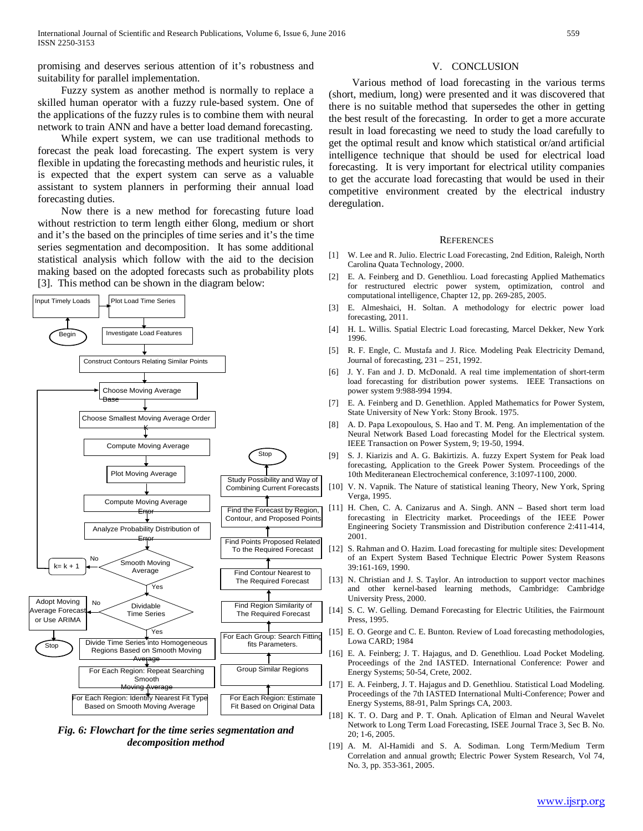promising and deserves serious attention of it's robustness and suitability for parallel implementation.

 Fuzzy system as another method is normally to replace a skilled human operator with a fuzzy rule-based system. One of the applications of the fuzzy rules is to combine them with neural network to train ANN and have a better load demand forecasting.

 While expert system, we can use traditional methods to forecast the peak load forecasting. The expert system is very flexible in updating the forecasting methods and heuristic rules, it is expected that the expert system can serve as a valuable assistant to system planners in performing their annual load forecasting duties.

 Now there is a new method for forecasting future load without restriction to term length either 6long, medium or short and it's the based on the principles of time series and it's the time series segmentation and decomposition. It has some additional statistical analysis which follow with the aid to the decision making based on the adopted forecasts such as probability plots [3]. This method can be shown in the diagram below:



*Fig. 6: Flowchart for the time series segmentation and decomposition method*

#### V. CONCLUSION

 Various method of load forecasting in the various terms (short, medium, long) were presented and it was discovered that there is no suitable method that supersedes the other in getting the best result of the forecasting. In order to get a more accurate result in load forecasting we need to study the load carefully to get the optimal result and know which statistical or/and artificial intelligence technique that should be used for electrical load forecasting. It is very important for electrical utility companies to get the accurate load forecasting that would be used in their competitive environment created by the electrical industry deregulation.

#### **REFERENCES**

- [1] W. Lee and R. Julio. Electric Load Forecasting, 2nd Edition, Raleigh, North Carolina Quata Technology, 2000.
- [2] E. A. Feinberg and D. Genethliou. Load forecasting Applied Mathematics for restructured electric power system, optimization, control and computational intelligence, Chapter 12, pp. 269-285, 2005.
- [3] E. Almeshaici, H. Soltan. A methodology for electric power load forecasting, 2011.
- [4] H. L. Willis. Spatial Electric Load forecasting, Marcel Dekker, New York 1996.
- [5] R. F. Engle, C. Mustafa and J. Rice. Modeling Peak Electricity Demand, Journal of forecasting, 231 – 251, 1992.
- [6] J. Y. Fan and J. D. McDonald. A real time implementation of short-term load forecasting for distribution power systems. IEEE Transactions on power system 9:988-994 1994.
- [7] E. A. Feinberg and D. Genethlion. Appled Mathematics for Power System, State University of New York: Stony Brook. 1975.
- [8] A. D. Papa Lexopoulous, S. Hao and T. M. Peng. An implementation of the Neural Network Based Load forecasting Model for the Electrical system. IEEE Transaction on Power System, 9; 19-50, 1994.
- [9] S. J. Kiarizis and A. G. Bakirtizis. A. fuzzy Expert System for Peak load forecasting, Application to the Greek Power System. Proceedings of the 10th Mediteranean Electrochemical conference, 3:1097-1100, 2000.
- [10] V. N. Vapnik. The Nature of statistical leaning Theory, New York, Spring Verga, 1995.
- [11] H. Chen, C. A. Canizarus and A. Singh. ANN Based short term load forecasting in Electricity market. Proceedings of the IEEE Power Engineering Society Transmission and Distribution conference 2:411-414, 2001.
- [12] S. Rahman and O. Hazim. Load forecasting for multiple sites: Development of an Expert System Based Technique Electric Power System Reasons 39:161-169, 1990.
- [13] N. Christian and J. S. Taylor. An introduction to support vector machines and other kernel-based learning methods, Cambridge: Cambridge University Press, 2000.
- [14] S. C. W. Gelling. Demand Forecasting for Electric Utilities, the Fairmount Press, 1995.
- [15] E. O. George and C. E. Bunton. Review of Load forecasting methodologies, Lowa CARD; 1984
- [16] E. A. Feinberg; J. T. Hajagus, and D. Genethliou. Load Pocket Modeling. Proceedings of the 2nd IASTED. International Conference: Power and Energy Systems; 50-54, Crete, 2002.
- [17] E. A. Feinberg, J. T. Hajagus and D. Genethliou. Statistical Load Modeling. Proceedings of the 7th IASTED International Multi-Conference; Power and Energy Systems, 88-91, Palm Springs CA, 2003.
- [18] K. T. O. Darg and P. T. Onah. Aplication of Elman and Neural Wavelet Network to Long Term Load Forecasting, ISEE Journal Trace 3, Sec B. No. 20; 1-6, 2005.
- [19] A. M. Al-Hamidi and S. A. Sodiman. Long Term/Medium Term Correlation and annual growth; Electric Power System Research, Vol 74, No. 3, pp. 353-361, 2005.